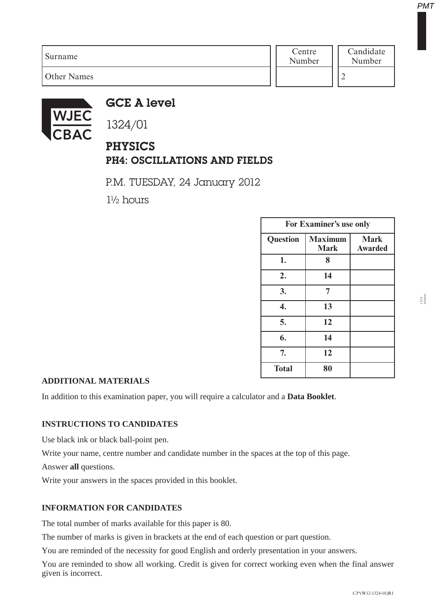Surname

Other Names



### GCE A level

1324/01

## PHYSICS PH4: OSCILLATIONS AND FIELDS

P.M. TUESDAY, 24 January 2012

1½ hours

| For Examiner's use only |                               |                               |  |  |
|-------------------------|-------------------------------|-------------------------------|--|--|
| <b>Question</b>         | <b>Maximum</b><br><b>Mark</b> | <b>Mark</b><br><b>Awarded</b> |  |  |
| 1.                      | 8                             |                               |  |  |
| 2.                      | 14                            |                               |  |  |
| 3.                      | 7                             |                               |  |  |
| 4.                      | 13                            |                               |  |  |
| 5.                      | 12                            |                               |  |  |
| 6.                      | 14                            |                               |  |  |
| 7.                      | 12                            |                               |  |  |
| <b>Total</b>            | 80                            |                               |  |  |

#### **ADDITIONAL MATERIALS**

In addition to this examination paper, you will require a calculator and a **Data Booklet**.

#### **INSTRUCTIONS TO CANDIDATES**

Use black ink or black ball-point pen.

Write your name, centre number and candidate number in the spaces at the top of this page.

Answer **all** questions.

Write your answers in the spaces provided in this booklet.

#### **INFORMATION FOR CANDIDATES**

The total number of marks available for this paper is 80.

The number of marks is given in brackets at the end of each question or part question.

You are reminded of the necessity for good English and orderly presentation in your answers.

You are reminded to show all working. Credit is given for correct working even when the final answer given is incorrect.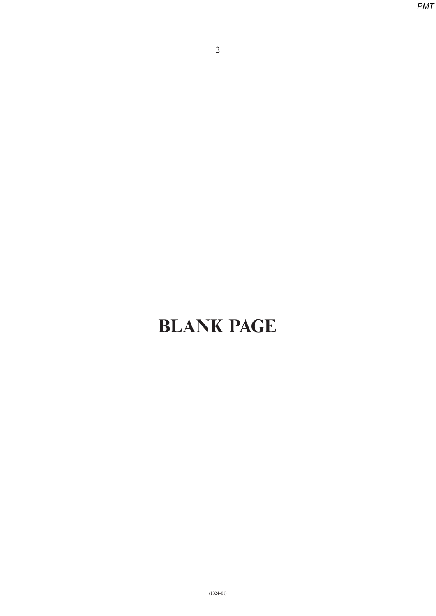# **BLANK PAGE**

2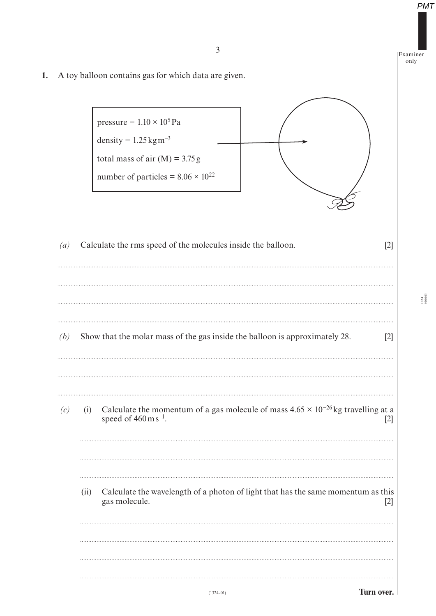only

1324 010003

3 Examiner

**1.** A toy balloon contains gas for which data are given.

pressure =  $1.10 \times 10^5$  Pa density =  $1.25$  kg m<sup>-3</sup> total mass of air  $(M) = 3.75 g$ number of particles =  $8.06 \times 10^{22}$ 

*(a)* Calculate the rms speed of the molecules inside the balloon. [2] *(b)* Show that the molar mass of the gas inside the balloon is approximately 28. [2] *(c)* (i) Calculate the momentum of a gas molecule of mass  $4.65 \times 10^{-26}$ kg travelling at a speed of  $460 \,\mathrm{m}\,\mathrm{s}^{-1}$ . [2] (ii) Calculate the wavelength of a photon of light that has the same momentum as this gas molecule. [2] (1324-01) **Turn over.**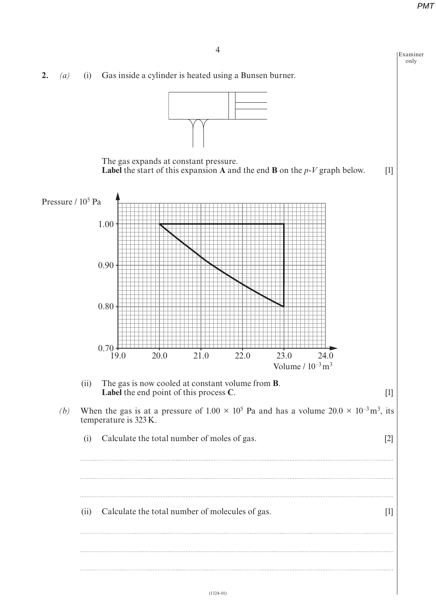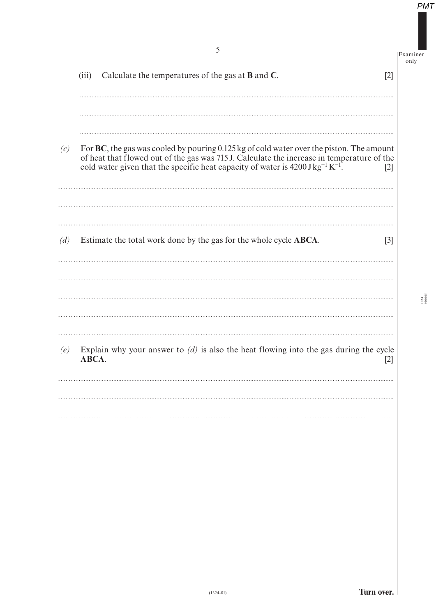5 Examiner (iii) Calculate the temperatures of the gas at **B** and **C**. [2] *(c)* For **BC**, the gas was cooled by pouring 0.125kg of cold water over the piston. The amount of heat that flowed out of the gas was 715 J. Calculate the increase in temperature of the cold water given that the specific heat capacity of water is  $4200 \text{ J kg}^{-1} \text{K}^{-1}$ . [2] cold water given that the specific heat capacity of water is 4200 J kg<sup>-1</sup>K<sup>-1</sup>. *(d)* Estimate the total work done by the gas for the whole cycle **ABCA**. [3] *(e)* Explain why your answer to *(d)* is also the heat flowing into the gas during the cycle **ABCA**. [2]

only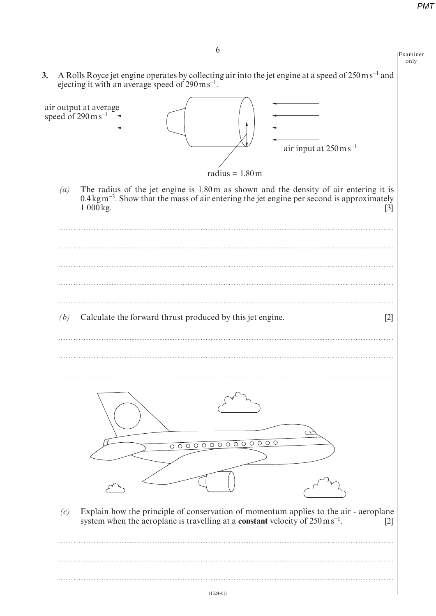only

6 Examiner **3.** A Rolls Royce jet engine operates by collecting air into the jet engine at a speed of 250 m s<sup>-1</sup> and ejecting it with an average speed of 290ms–1. air output at average speed of  $290 \,\mathrm{m}\,\mathrm{s}^{-1}$ air input at 250ms–1 radius  $= 1.80 \text{ m}$ *(a)* The radius of the jet engine is 1.80m as shown and the density of air entering it is 0.4 kgm<sup>-3</sup>. Show that the mass of air entering the jet engine per second is approximately 1 000 kg. [3]  $1\,000\,\text{kg}$ . [3] *(b)* Calculate the forward thrust produced by this jet engine. [2]  $\overline{\phantom{0}}$  $\overline{\circ\circ\circ\circ\circ}$  $\overline{\Omega}$  $0.000000$  $\cap$ *(c)* Explain how the principle of conservation of momentum applies to the air - aeroplane system when the aeroplane is travelling at a **constant** velocity of 250 m s<sup>-1</sup>. [2]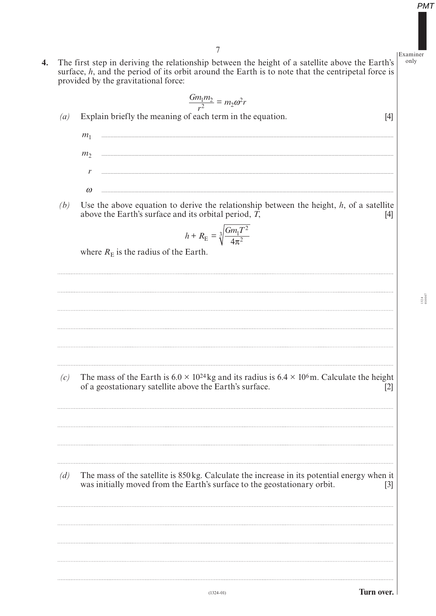7 Examiner only

*PMT*

1324 010007

- 
- **4.** The first step in deriving the relationship between the height of a satellite above the Earth's surface, *h*, and the period of its orbit around the Earth is to note that the centripetal force is provided by the gravitational force:

$$
\frac{Gm_1m_2}{r^2} = m_2\omega^2 r
$$

*(a)* Explain briefly the meaning of each term in the equation. [4] *m*<sup>1</sup> **.....................................................................................................................................................................................................**

*m*<sup>2</sup> **.....................................................................................................................................................................................................**

- *r* **.....................................................................................................................................................................................................** ω **.....................................................................................................................................................................................................**
- *(b)* Use the above equation to derive the relationship between the height, *h*, of a satellite above the Earth's surface and its orbital period,  $\overline{T}$ , [4]

$$
h + R_{\rm E} = \sqrt[3]{\frac{Gm_1T^2}{4\pi^2}}
$$

where  $R<sub>E</sub>$  is the radius of the Earth.

*(c)* The mass of the Earth is  $6.0 \times 10^{24}$  kg and its radius is  $6.4 \times 10^6$  m. Calculate the height of a geostationary satellite above the Earth's surface. [2] *(d)* The mass of the satellite is 850kg. Calculate the increase in its potential energy when it was initially moved from the Earth's surface to the geostationary orbit. [3]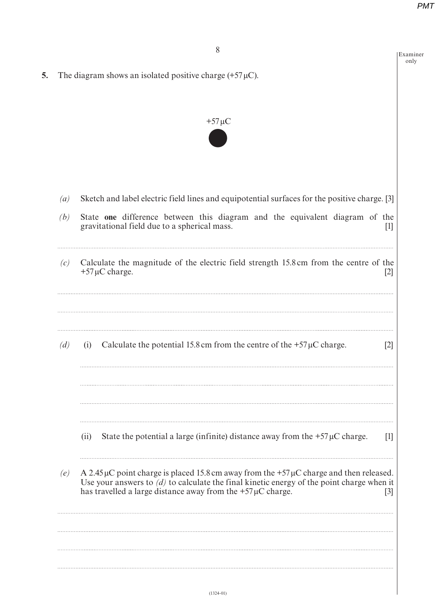Examiner only

**5.** The diagram shows an isolated positive charge  $(+57 \,\mu C)$ .

# $+57 \mu C$

- *(a)* Sketch and label electric field lines and equipotential surfaces for the positive charge. [3]
- *(b)* State **one** difference between this diagram and the equivalent diagram of the gravitational field due to a spherical mass. [1]
- *(c)* Calculate the magnitude of the electric field strength 15.8 cm from the centre of the  $+57 \mu$ C charge. [2]

- 
- *(d)* (i) Calculate the potential 15.8 cm from the centre of the  $+57 \mu$ C charge. [2]

- (ii) State the potential a large (infinite) distance away from the  $+57 \mu C$  charge. [1]
- *(e)* A 2.45µC point charge is placed 15.8 cm away from the +57µC charge and then released. Use your answers to *(d)* to calculate the final kinetic energy of the point charge when it has travelled a large distance away from the  $+57 \mu C$  charge. [3]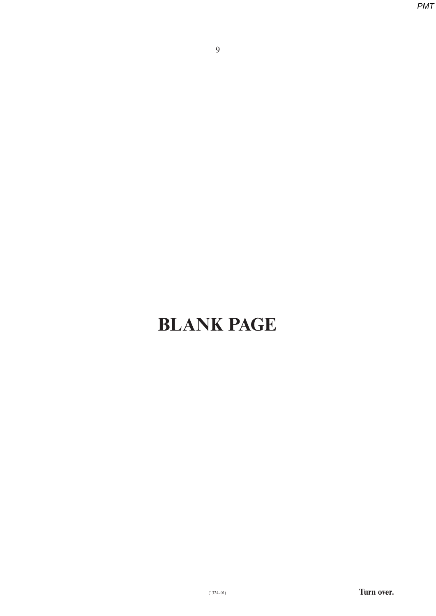# **BLANK PAGE**

9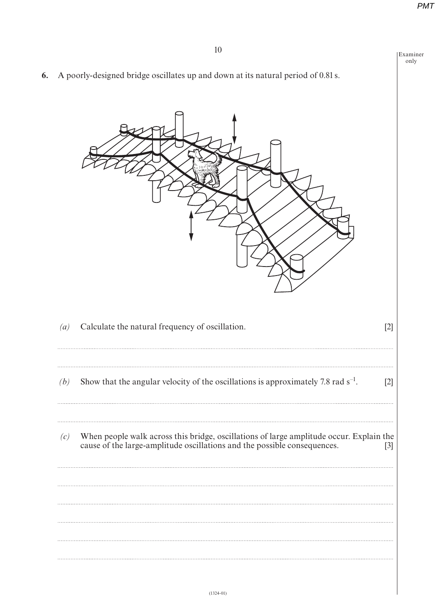Examiner only

**6.** A poorly-designed bridge oscillates up and down at its natural period of 0.81 s.

| $\left( a\right)$ | Calculate the natural frequency of oscillation.                                                                                                                      | $[2]$ |
|-------------------|----------------------------------------------------------------------------------------------------------------------------------------------------------------------|-------|
| (b)               | Show that the angular velocity of the oscillations is approximately 7.8 rad $s^{-1}$ .                                                                               | $[2]$ |
| (c)               | When people walk across this bridge, oscillations of large amplitude occur. Explain the cause of the large-amplitude oscillations and the possible consequences. [3] |       |
|                   |                                                                                                                                                                      |       |
|                   |                                                                                                                                                                      |       |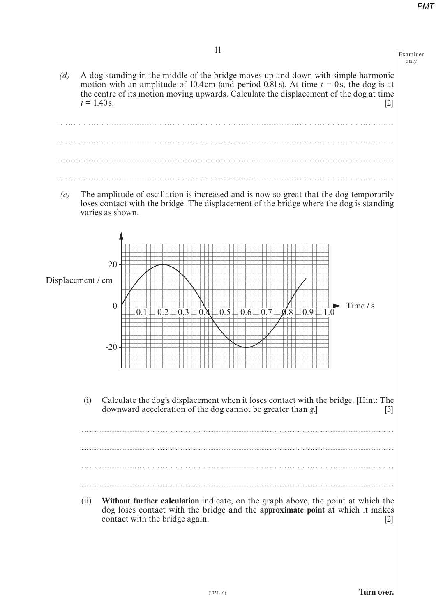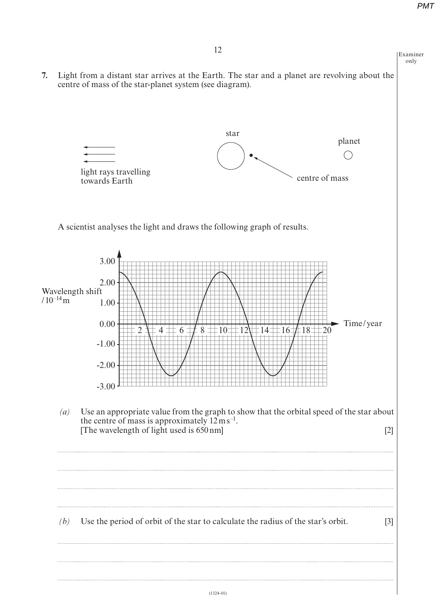Examiner only

**7.** Light from a distant star arrives at the Earth. The star and a planet are revolving about the centre of mass of the star-planet system (see diagram). star planet  $\bigcirc$ 

centre of mass

A scientist analyses the light and draws the following graph of results.

light rays travelling towards Earth